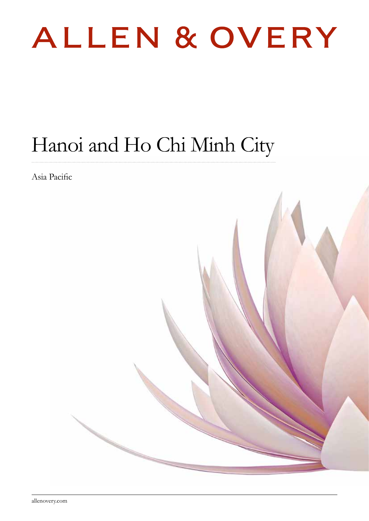

# Hanoi and Ho Chi Minh City

Asia Pacific

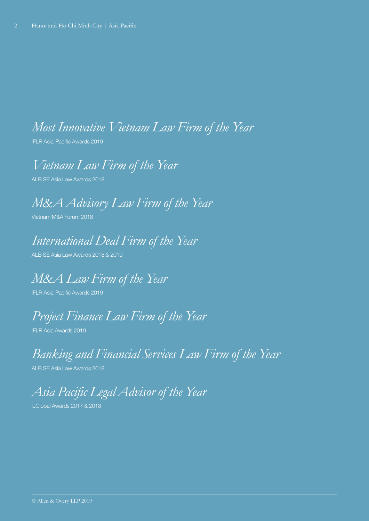### *Most Innovative Vietnam Law Firm of the Year*

IFLR Asia-Pacific Awards 2019

*Vietnam Law Firm of the Year*

ALB SE Asia Law Awards 2018

*M&A Advisory Law Firm of the Year*

Vietnam M&A Forum 2018

### *International Deal Firm of the Year*

ALB SE Asia Law Awards 2018 & 2019

*M&A Law Firm of the Year*

IFLR Asia-Pacific Awards 2019

## *Project Finance Law Firm of the Year*

IFLR Asia Awards 2019

### *Banking and Financial Services Law Firm of the Year*

ALB SE Asia Law Awards 2018

# *Asia Pacific Legal Advisor of the Year*

IJGlobal Awards 2017 & 2018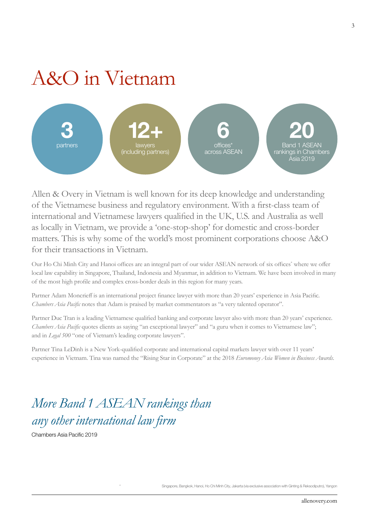# A&O in Vietnam



Allen & Overy in Vietnam is well known for its deep knowledge and understanding of the Vietnamese business and regulatory environment. With a first-class team of international and Vietnamese lawyers qualified in the UK, U.S. and Australia as well as locally in Vietnam, we provide a 'one-stop-shop' for domestic and cross-border matters. This is why some of the world's most prominent corporations choose A&O for their transactions in Vietnam.

Our Ho Chi Minh City and Hanoi offices are an integral part of our wider ASEAN network of six offices<sup>\*</sup> where we offer local law capability in Singapore, Thailand, Indonesia and Myanmar, in addition to Vietnam. We have been involved in many of the most high profile and complex cross-border deals in this region for many years.

Partner Adam Moncrieff is an international project finance lawyer with more than 20 years' experience in Asia Pacific. *Chambers Asia Pacific* notes that Adam is praised by market commentators as "a very talented operator".

Partner Duc Tran is a leading Vietnamese qualified banking and corporate lawyer also with more than 20 years' experience. *Chambers Asia Pacific* quotes clients as saying "an exceptional lawyer" and "a guru when it comes to Vietnamese law"; and in *Legal 500* "one of Vietnam's leading corporate lawyers".

Partner Tina LeDinh is a New York-qualified corporate and international capital markets lawyer with over 11 years' experience in Vietnam. Tina was named the "Rising Star in Corporate" at the 2018 *Euromoney Asia Women in Business Awards*.

## *More Band 1 ASEAN rankings than any other international law firm*

Chambers Asia Pacific 2019

Singapore, Bangkok, Hanoi, Ho Chi Minh City, Jakarta (via exclusive association with Ginting & Reksodiputro), Yangon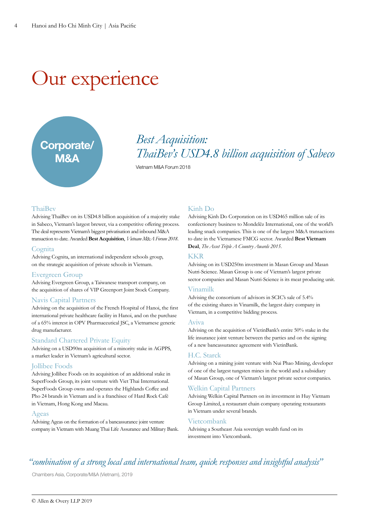# Our experience

# Corporate/ M&A

### *Best Acquisition: ThaiBev's USD4.8 billion acquisition of Sabeco*

Vietnam M&A Forum 2018

#### **ThaiBey**

Advising ThaiBev on its USD4.8 billion acquisition of a majority stake in Sabeco, Vietnam's largest brewer, via a competitive offering process. The deal represents Vietnam's biggest privatisation and inbound M&A transaction to date. Awarded **Best Acquisition**, *Vietnam M&A Forum 2018*.

#### **Cognita**

Advising Cognita, an international independent schools group, on the strategic acquisition of private schools in Vietnam.

#### Evergreen Group

Advising Evergreen Group, a Taiwanese transport company, on the acquisition of shares of VIP Greenport Joint Stock Company.

#### Navis Capital Partners

Advising on the acquisition of the French Hospital of Hanoi, the first international private healthcare facility in Hanoi, and on the purchase of a 65% interest in OPV Pharmaceutical JSC, a Vietnamese generic drug manufacturer.

#### Standard Chartered Private Equity

Advising on a USD90m acquisition of a minority stake in AGPPS, a market leader in Vietnam's agricultural sector.

#### Jollibee Foods

Advising Jollibee Foods on its acquisition of an additional stake in SuperFoods Group, its joint venture with Viet Thai International. SuperFoods Group owns and operates the Highlands Coffee and Pho 24 brands in Vietnam and is a franchisee of Hard Rock Café in Vietnam, Hong Kong and Macau.

#### Ageas

Advising Ageas on the formation of a bancassurance joint venture company in Vietnam with Muang Thai Life Assurance and Military Bank.

#### Kinh Do

Advising Kinh Do Corporation on its USD465 million sale of its confectionery business to Mondelēz International, one of the world's leading snack companies. This is one of the largest M&A transactions to date in the Vietnamese FMCG sector. Awarded **Best Vietnam Deal**, *The Asset Triple A Country Awards 2015*.

#### KKR

Advising on its USD250m investment in Masan Group and Masan Nutri-Science. Masan Group is one of Vietnam's largest private sector companies and Masan Nutri-Science is its meat producing unit.

#### Vinamilk

Advising the consortium of advisors in SCIC's sale of 5.4% of the existing shares in Vinamilk, the largest dairy company in Vietnam, in a competitive bidding process.

#### Aviva

Advising on the acquisition of VietinBank's entire 50% stake in the life insurance joint venture between the parties and on the signing of a new bancassurance agreement with VietinBank.

#### H.C. Starck

Advising on a mining joint venture with Nui Phao Mining, developer of one of the largest tungsten mines in the world and a subsidiary of Masan Group, one of Vietnam's largest private sector companies.

#### Welkin Capital Partners

Advising Welkin Capital Partners on its investment in Huy Vietnam Group Limited, a restaurant chain company operating restaurants in Vietnam under several brands.

#### Vietcombank

Advising a Southeast Asia sovereign wealth fund on its investment into Vietcombank.

### *"combination of a strong local and international team, quick responses and insightful analysis"*

Chambers Asia, Corporate/M&A (Vietnam), 2019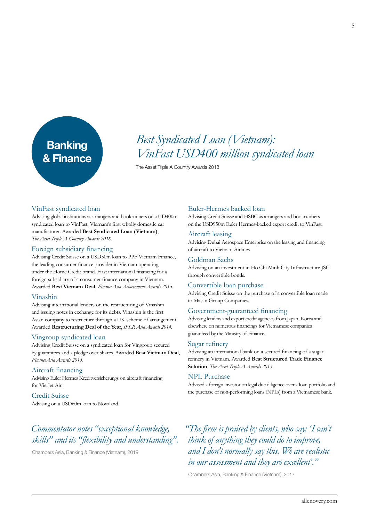# **Banking** & Finance

### *Best Syndicated Loan (Vietnam): VinFast USD400 million syndicated loan*

The Asset Triple A Country Awards 2018

#### VinFast syndicated loan

Advising global institutions as arrangers and bookrunners on a UD400m syndicated loan to VinFast, Viernam's first wholly domestic car manufacturer. Awarded **Best Syndicated Loan (Vietnam)**, *The Asset Triple A Country Awards 2018*.

#### Foreign subsidiary financing

Advising Credit Suisse on a USD50m loan to PPF Vietnam Finance, the leading consumer finance provider in Vietnam operating under the Home Credit brand. First international financing for a foreign subsidiary of a consumer finance company in Vietnam. Awarded **Best Vietnam Deal**, *FinanceAsia Achievement Awards 2015*.

#### Vinashin

Advising international lenders on the restructuring of Vinashin and issuing notes in exchange for its debts. Vinashin is the first Asian company to restructure through a UK scheme of arrangement. Awarded **Restructuring Deal of the Year**, *IFLR Asia Awards 2014*.

#### Vingroup syndicated loan

Advising Credit Suisse on a syndicated loan for Vingroup secured by guarantees and a pledge over shares. Awarded **Best Vietnam Deal**, *FinanceAsia Awards 2013*.

#### Aircraft financing

Advising Euler Hermes Kreditversicherungs on aircraft financing for VietJet Air.

Credit Suisse Advising on a USD60m loan to Novaland.

### *Commentator notes "exceptional knowledge, skills" and its "flexibility and understanding".*

Chambers Asia, Banking & Finance (Vietnam), 2019

#### Euler-Hermes backed loan

Advising Credit Suisse and HSBC as arrangers and bookrunners on the USD950m Euler Hermes-backed export credit to VinFast.

#### Aircraft leasing

Advising Dubai Aerospace Enterprise on the leasing and financing of aircraft to Vietnam Airlines.

#### Goldman Sachs

Advising on an investment in Ho Chi Minh City Infrastructure JSC through convertible bonds.

#### Convertible loan purchase

Advising Credit Suisse on the purchase of a convertible loan made to Masan Group Companies.

#### Government-guaranteed financing

Advising lenders and export credit agencies from Japan, Korea and elsewhere on numerous financings for Vietnamese companies guaranteed by the Ministry of Finance.

#### Sugar refinery

Advising an international bank on a secured financing of a sugar refinery in Vietnam. Awarded **Best Structured Trade Finance Solution**, *The Asset Triple A Awards 2013*.

#### NPL Purchase

Advised a foreign investor on legal due diligence over a loan portfolio and the purchase of non-performing loans (NPLs) from a Vietnamese bank.

*"The firm is praised by clients, who say: 'I can't think of anything they could do to improve, and I don't normally say this. We are realistic in our assessment and they are excellent'."* 

Chambers Asia, Banking & Finance (Vietnam), 2017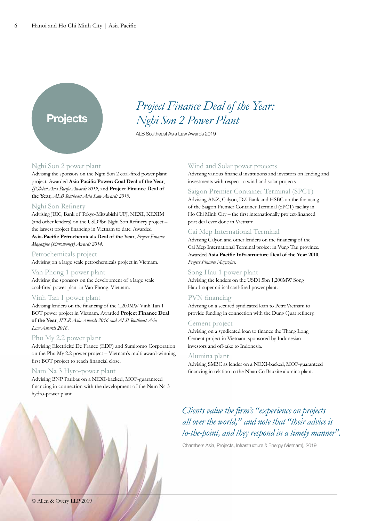### Projects

### *Project Finance Deal of the Year: Nghi Son 2 Power Plant*

ALB Southeast Asia Law Awards 2019

#### Nghi Son 2 power plant

Advising the sponsors on the Nghi Son 2 coal-fired power plant project. Awarded **Asia Pacific Power: Coal Deal of the Year**, *IJGlobal Asia Pacific Awards 2019*, and **Project Finance Deal of the Year**, *ALB Southeast Asia Law Awards 2019*.

#### Nghi Son Refinery

Advising JBIC, Bank of Tokyo-Mitsubishi UFJ, NEXI, KEXIM (and other lenders) on the USD9bn Nghi Son Refinery project – the largest project financing in Vietnam to date. Awarded **Asia-Pacific Petrochemicals Deal of the Year**, *Project Finance Magazine (Euromoney) Awards 2014*.

#### Petrochemicals project

Advising on a large scale petrochemicals project in Vietnam.

#### Van Phong 1 power plant

Advising the sponsors on the development of a large scale coal-fired power plant in Van Phong, Vietnam.

#### Vinh Tan 1 power plant

Advising lenders on the financing of the 1,200MW Vinh Tan 1 BOT power project in Vietnam. Awarded **Project Finance Deal of the Year**, *IFLR Asia Awards 2016 and ALB Southeast Asia Law Awards 2016*.

#### Phu My 2.2 power plant

Advising Electricité De France (EDF) and Sumitomo Corporation on the Phu My 2.2 power project – Vietnam's multi award-winning first BOT project to reach financial close.

#### Nam Na 3 Hyro-power plant

Advising BNP Paribas on a NEXI-backed, MOF-guaranteed financing in connection with the development of the Nam Na 3 hydro-power plant.

#### Wind and Solar power projects

Advising various financial institutions and investors on lending and investments with respect to wind and solar projects.

#### Saigon Premier Container Terminal (SPCT)

Advising ANZ, Calyon, DZ Bank and HSBC on the financing of the Saigon Premier Container Terminal (SPCT) facility in Ho Chi Minh City – the first internationally project-financed port deal ever done in Vietnam.

#### Cai Mep International Terminal

Advising Calyon and other lenders on the financing of the Cai Mep International Terminal project in Vung Tau province. Awarded **Asia Pacific Infrastructure Deal of the Year 2010**, *Project Finance Magazine*.

#### Song Hau 1 power plant

Advising the lenders on the USD1.5bn 1,200MW Song Hau 1 super critical coal-fired power plant.

#### PVN financing

Advising on a secured syndicated loan to PetroVietnam to provide funding in connection with the Dung Quat refinery.

#### Cement project

Advising on a syndicated loan to finance the Thang Long Cement project in Vietnam, sponsored by Indonesian investors and off-take to Indonesia.

#### Alumina plant

Advising SMBC as lender on a NEXI-backed, MOF-guaranteed financing in relation to the Nhan Co Bauxite alumina plant.

### *Clients value the firm's "experience on projects all over the world," and note that "their advice is to-the-point, and they respond in a timely manner".*

Chambers Asia, Projects, Infrastructure & Energy (Vietnam), 2019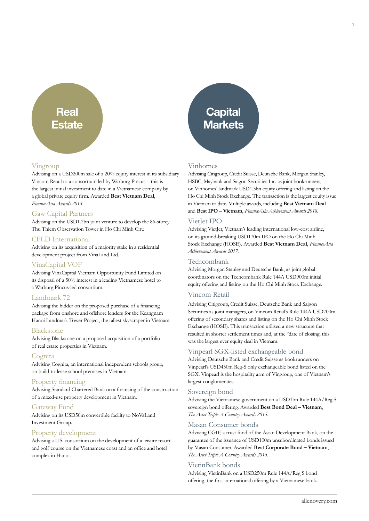### **Real** Estate

#### Vingroup

Advising on a USD200m sale of a 20% equity interest in its subsidiary Vincom Retail to a consortium led by Warburg Pincus – this is the largest initial investment to date in a Vietnamese company by a global private equity firm. Awarded **Best Vietnam Deal**, *FinanceAsia Awards 2013*.

#### Gaw Capital Partners

Advising on the USD1.2bn joint venture to develop the 86-storey Thu Thiem Observation Tower in Ho Chi Minh City.

#### CFLD International

Advising on its acquisition of a majority stake in a residential development project from VinaLand Ltd.

#### VinaCapital VOF

Advising VinaCapital Vietnam Opportunity Fund Limited on its disposal of a 50% interest in a leading Vietnamese hotel to a Warburg Pincus-led consortium.

#### Landmark 72

Advising the bidder on the proposed purchase of a financing package from onshore and offshore lenders for the Keangnam Hanoi Landmark Tower Project, the tallest skyscraper in Vietnam.

#### Blackstone

Advising Blackstone on a proposed acquisition of a portfolio of real estate properties in Vietnam.

#### **Cognita**

Advising Cognita, an international independent schools group, on build-to-lease school premises in Vietnam.

#### Property financing

Advising Standard Chartered Bank on a financing of the construction of a mixed-use property development in Vietnam.

#### Gateway Fund

Advising on its USD50m convertible facility to NoVaLand Investment Group.

#### Property development

Advising a U.S. consortium on the development of a leisure resort and golf course on the Vietnamese coast and an office and hotel complex in Hanoi.



#### Vinhomes

Advising Citigroup, Credit Suisse, Deutsche Bank, Morgan Stanley, HSBC, Maybank and Saigon Securities Inc. as joint bookrunners, on Vinhomes' landmark USD1.3bn equity offering and listing on the Ho Chi Minh Stock Exchange. The transaction is the largest equity issue in Vietnam to date. Multiple awards, including **Best Vietnam Deal** and **Best IPO – Vietnam**, *FinanceAsia Achievement Awards 2018*.

#### VietJet IPO

Advising VietJet, Vietnam's leading international low-cost airline, on its ground-breaking USD170m IPO on the Ho Chi Minh Stock Exchange (HOSE). Awarded **Best Vietnam Deal**, *FinanceAsia Achievement Awards 2017.*

#### Techcombank

Advising Morgan Stanley and Deutsche Bank, as joint global coordinators on the Techcombank Rule 144A USD900m initial equity offering and listing on the Ho Chi Minh Stock Exchange.

#### Vincom Retail

Advising Citigroup, Credit Suisse, Deutsche Bank and Saigon Securities as joint managers, on Vincom Retail's Rule 144A USD700m offering of secondary shares and listing on the Ho Chi Minh Stock Exchange (HOSE). This transaction utilised a new structure that resulted in shorter settlement times and, at the ºdate of closing, this was the largest ever equity deal in Vietnam.

#### Vinpearl SGX-listed exchangeable bond

Advising Deutsche Bank and Credit Suisse as bookrunners on Vinpearl's USD450m Reg-S only exchangeable bond listed on the SGX. Vinpearl is the hospitality arm of Vingroup, one of Vietnam's largest conglomerates.

#### Sovereign bond

Advising the Vietnamese government on a USD1bn Rule 144A/Reg S sovereign bond offering. Awarded **Best Bond Deal – Vietnam**, *The Asset Triple A Country Awards 2015*.

#### Masan Consumer bonds

Advising CGIF, a trust fund of the Asian Development Bank, on the guarantee of the issuance of USD100m unsubordinated bonds issued by Masan Consumer. Awarded **Best Corporate Bond – Vietnam**, *The Asset Triple A Country Awards 2015*.

#### VietinBank bonds

Advising VietinBank on a USD250m Rule 144A/Reg S bond offering, the first international offering by a Vietnamese bank.